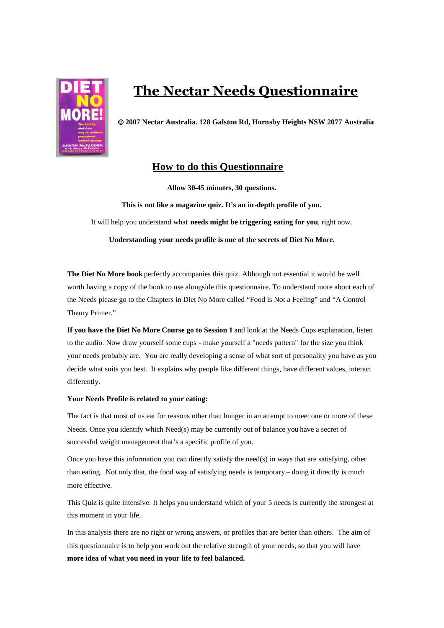

# **The Nectar Needs Questionnaire**

**2007 Nectar Australia. 128 Galston Rd, Hornsby Heights NSW 2077 Australia**

## **How to do this Questionnaire**

**Allow 30-45 minutes, 30 questions.**

**This is not like a magazine quiz. It's an in-depth profile of you.** It will help you understand what **needs might be triggering eating for you**, right now.

**Understanding your needs profile is one of the secrets of Diet No More.**

**The Diet No More book** perfectly accompanies this quiz. Although not essential it would be well worth having a copy of the book to use alongside this questionnaire. To understand more about each of the Needs please go to the Chapters in Diet No More called "Food is Not a Feeling" and "A Control Theory Primer."

**If you have the Diet No More Course go to Session 1** and look at the Needs Cups explanation, listen to the audio. Now draw yourself some cups - make yourself a "needs pattern" for the size you think your needs probably are. You are really developing a sense of what sort of personality you have as you decide what suits you best. It explains why people like different things, have different values, interact differently.

## **Your Needs Profile is related to your eating:**

The fact is that most of us eat for reasons other than hunger in an attempt to meet one or more of these Needs. Once you identify which Need(s) may be currently out of balance you have a secret of successful weight management that's a specific profile of you.

Once you have this information you can directly satisfy the need(s) in ways that are satisfying, other than eating. Not only that, the food way of satisfying needs is temporary – doing it directly is much more effective.

This Quiz is quite intensive. It helps you understand which of your 5 needs is currently the strongest at this moment in your life.

In this analysis there are no right or wrong answers, or profiles that are better than others. The aim of this questionnaire is to help you work out the relative strength of your needs, so that you will have **more idea of what you need in your life to feel balanced.**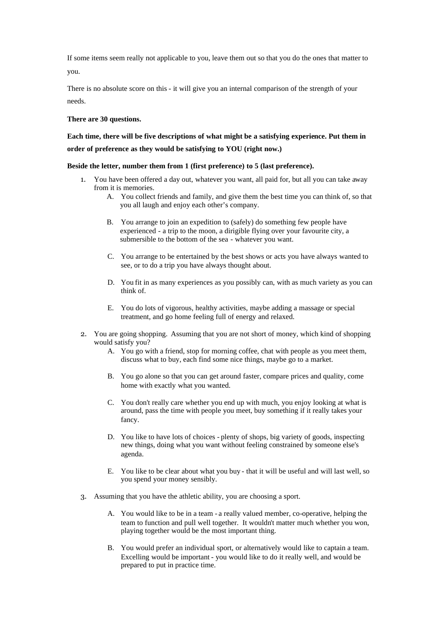If some items seem really not applicable to you, leave them out so that you do the ones that matter to you.

There is no absolute score on this - it will give you an internal comparison of the strength of your needs.

## **There are 30 questions.**

## **Each time, there will be five descriptions of what might be a satisfying experience. Put them in order of preference as they would be satisfying to YOU (right now.)**

## **Beside the letter, number them from 1 (first preference) to 5 (last preference).**

- 1. You have been offered a day out, whatever you want, all paid for, but all you can take away from it is memories.
	- A. You collect friends and family, and give them the best time you can think of, so that you all laugh and enjoy each other's company.
	- B. You arrange to join an expedition to (safely) do something few people have experienced - a trip to the moon, a dirigible flying over your favourite city, a submersible to the bottom of the sea - whatever you want.
	- C. You arrange to be entertained by the best shows or acts you have always wanted to see, or to do a trip you have always thought about.
	- D. You fit in as many experiences as you possibly can, with as much variety as you can think of.
	- E. You do lots of vigorous, healthy activities, maybe adding a massage or special treatment, and go home feeling full of energy and relaxed.
- 2. You are going shopping. Assuming that you are not short of money, which kind of shopping would satisfy you?
	- A. You go with a friend, stop for morning coffee, chat with people as you meet them, discuss what to buy, each find some nice things, maybe go to a market.
	- B. You go alone so that you can get around faster, compare prices and quality, come home with exactly what you wanted.
	- C. You don't really care whether you end up with much, you enjoy looking at what is around, pass the time with people you meet, buy something if it really takes your fancy.
	- D. You like to have lots of choices plenty of shops, big variety of goods, inspecting new things, doing what you want without feeling constrained by someone else's agenda.
	- E. You like to be clear about what you buy that it will be useful and will last well, so you spend your money sensibly.
- 3. Assuming that you have the athletic ability, you are choosing a sport.
	- A. You would like to be in a team a really valued member, co-operative, helping the team to function and pull well together. It wouldn't matter much whether you won, playing together would be the most important thing.
	- B. You would prefer an individual sport, or alternatively would like to captain a team. Excelling would be important - you would like to do it really well, and would be prepared to put in practice time.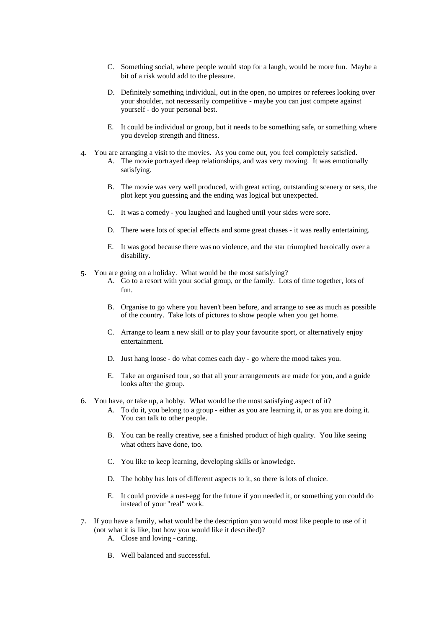- C. Something social, where people would stop for a laugh, would be more fun. Maybe a bit of a risk would add to the pleasure.
- D. Definitely something individual, out in the open, no umpires or referees looking over your shoulder, not necessarily competitive - maybe you can just compete against yourself - do your personal best.
- E. It could be individual or group, but it needs to be something safe, or something where you develop strength and fitness.
- 4. You are arranging a visit to the movies. As you come out, you feel completely satisfied.
	- A. The movie portrayed deep relationships, and was very moving. It was emotionally satisfying.
		- B. The movie was very well produced, with great acting, outstanding scenery or sets, the plot kept you guessing and the ending was logical but unexpected.
		- C. It was a comedy you laughed and laughed until your sides were sore.
		- D. There were lots of special effects and some great chases it was really entertaining.
		- E. It was good because there was no violence, and the star triumphed heroically over a disability.
- 5. You are going on a holiday. What would be the most satisfying?
	- A. Go to a resort with your social group, or the family. Lots of time together, lots of fun.
	- B. Organise to go where you haven't been before, and arrange to see as much as possible of the country. Take lots of pictures to show people when you get home.
	- C. Arrange to learn a new skill or to play your favourite sport, or alternatively enjoy entertainment.
	- D. Just hang loose do what comes each day go where the mood takes you.
	- E. Take an organised tour, so that all your arrangements are made for you, and a guide looks after the group.
- 6. You have, or take up, a hobby. What would be the most satisfying aspect of it?
	- A. To do it, you belong to a group either as you are learning it, or as you are doing it. You can talk to other people.
	- B. You can be really creative, see a finished product of high quality. You like seeing what others have done, too.
	- C. You like to keep learning, developing skills or knowledge.
	- D. The hobby has lots of different aspects to it, so there is lots of choice.
	- E. It could provide a nest-egg for the future if you needed it, or something you could do instead of your "real" work.
- 7. If you have a family, what would be the description you would most like people to use of it (not what it is like, but how you would like it described)?
	- A. Close and loving caring.
	- B. Well balanced and successful.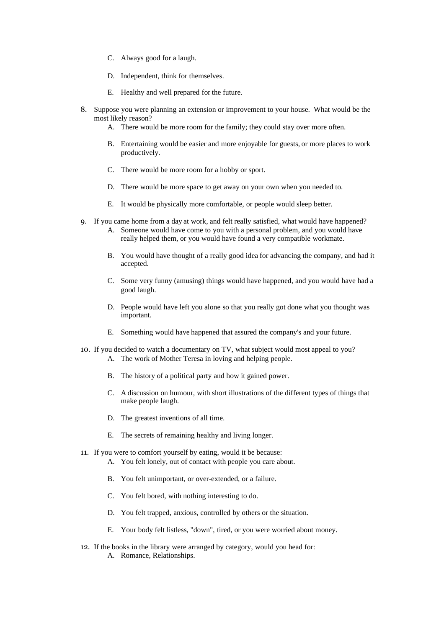- C. Always good for a laugh.
- D. Independent, think for themselves.
- E. Healthy and well prepared for the future.
- 8. Suppose you were planning an extension or improvement to your house. What would be the most likely reason?
	- A. There would be more room for the family; they could stay over more often.
	- B. Entertaining would be easier and more enjoyable for guests, or more places to work productively.
	- C. There would be more room for a hobby or sport.
	- D. There would be more space to get away on your own when you needed to.
	- E. It would be physically more comfortable, or people would sleep better.
- 9. If you came home from a day at work, and felt really satisfied, what would have happened?
	- A. Someone would have come to you with a personal problem, and you would have really helped them, or you would have found a very compatible workmate.
	- B. You would have thought of a really good idea for advancing the company, and had it accepted.
	- C. Some very funny (amusing) things would have happened, and you would have had a good laugh.
	- D. People would have left you alone so that you really got done what you thought was important.
	- E. Something would have happened that assured the company's and your future.
- 10. If you decided to watch a documentary on TV, what subject would most appeal to you? A. The work of Mother Teresa in loving and helping people.
	- B. The history of a political party and how it gained power.
	- C. A discussion on humour, with short illustrations of the different types of things that make people laugh.
	- D. The greatest inventions of all time.
	- E. The secrets of remaining healthy and living longer.
- 11. If you were to comfort yourself by eating, would it be because:
	- A. You felt lonely, out of contact with people you care about.
	- B. You felt unimportant, or over-extended, or a failure.
	- C. You felt bored, with nothing interesting to do.
	- D. You felt trapped, anxious, controlled by others or the situation.
	- E. Your body felt listless, "down", tired, or you were worried about money.
- 12. If the books in the library were arranged by category, would you head for: A. Romance, Relationships.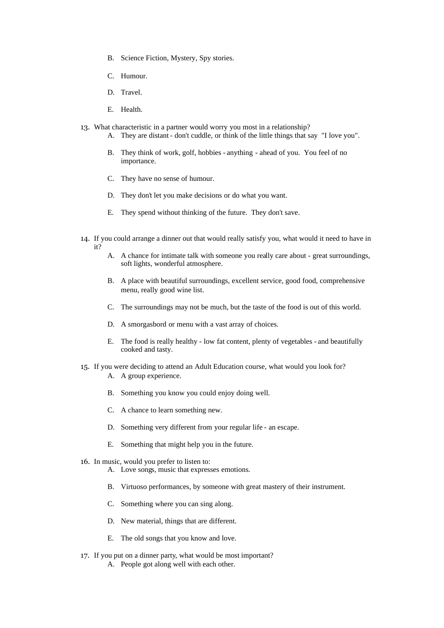- B. Science Fiction, Mystery, Spy stories.
- C. Humour.
- D. Travel.
- E. Health.
- 13. What characteristic in a partner would worry you most in a relationship?
	- A. They are distant don't cuddle, or think of the little things that say "I love you".
	- B. They think of work, golf, hobbies anything ahead of you. You feel of no importance.
	- C. They have no sense of humour.
	- D. They don't let you make decisions or do what you want.
	- E. They spend without thinking of the future. They don't save.
- 14. If you could arrange a dinner out that would really satisfy you, what would it need to have in it?
	- A. A chance for intimate talk with someone you really care about great surroundings, soft lights, wonderful atmosphere.
	- B. A place with beautiful surroundings, excellent service, good food, comprehensive menu, really good wine list.
	- C. The surroundings may not be much, but the taste of the food is out of this world.
	- D. A smorgasbord or menu with a vast array of choices.
	- E. The food is really healthy low fat content, plenty of vegetables and beautifully cooked and tasty.
- 15. If you were deciding to attend an Adult Education course, what would you look for? A. A group experience.
	- B. Something you know you could enjoy doing well.
	- C. A chance to learn something new.
	- D. Something very different from your regular life an escape.
	- E. Something that might help you in the future.
- 16. In music, would you prefer to listen to:
	- A. Love songs, music that expresses emotions.
	- B. Virtuoso performances, by someone with great mastery of their instrument.
	- C. Something where you can sing along.
	- D. New material, things that are different.
	- E. The old songs that you know and love.
- 17. If you put on a dinner party, what would be most important?
	- A. People got along well with each other.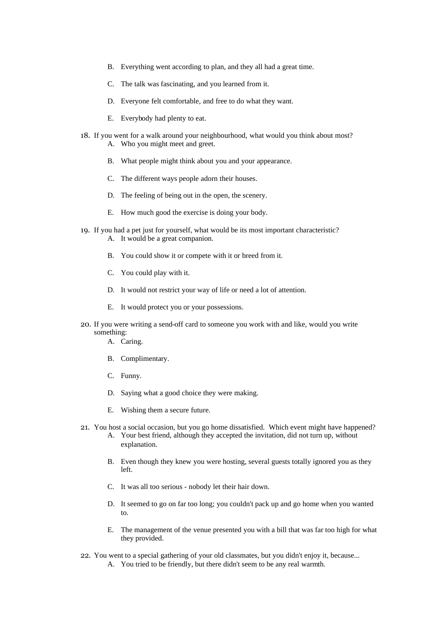- B. Everything went according to plan, and they all had a great time.
- C. The talk was fascinating, and you learned from it.
- D. Everyone felt comfortable, and free to do what they want.
- E. Everybody had plenty to eat.
- 18. If you went for a walk around your neighbourhood, what would you think about most? A. Who you might meet and greet.
	- B. What people might think about you and your appearance.
	- C. The different ways people adorn their houses.
	- D. The feeling of being out in the open, the scenery.
	- E. How much good the exercise is doing your body.
- 19. If you had a pet just for yourself, what would be its most important characteristic? A. It would be a great companion.
	- B. You could show it or compete with it or breed from it.
	- C. You could play with it.
	- D. It would not restrict your way of life or need a lot of attention.
	- E. It would protect you or your possessions.
- 20. If you were writing a send-off card to someone you work with and like, would you write something:
	- A. Caring.
	- B. Complimentary.
	- C. Funny.
	- D. Saying what a good choice they were making.
	- E. Wishing them a secure future.
- 21. You host a social occasion, but you go home dissatisfied. Which event might have happened?
	- A. Your best friend, although they accepted the invitation, did not turn up, without explanation.
	- B. Even though they knew you were hosting, several guests totally ignored you as they left.
	- C. It was all too serious nobody let their hair down.
	- D. It seemed to go on far too long; you couldn't pack up and go home when you wanted to.
	- E. The management of the venue presented you with a bill that was far too high for what they provided.
- 22. You went to a special gathering of your old classmates, but you didn't enjoy it, because...
	- A. You tried to be friendly, but there didn't seem to be any real warmth.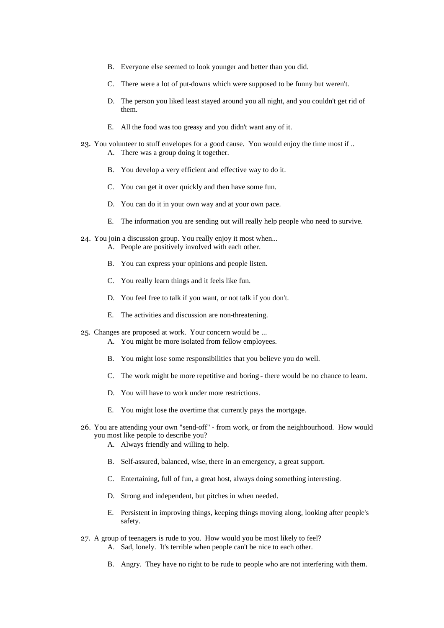- B. Everyone else seemed to look younger and better than you did.
- C. There were a lot of put-downs which were supposed to be funny but weren't.
- D. The person you liked least stayed around you all night, and you couldn't get rid of them.
- E. All the food was too greasy and you didn't want any of it.
- 23. You volunteer to stuff envelopes for a good cause. You would enjoy the time most if .. A. There was a group doing it together.
	- B. You develop a very efficient and effective way to do it.
	- C. You can get it over quickly and then have some fun.
	- D. You can do it in your own way and at your own pace.
	- E. The information you are sending out will really help people who need to survive.
- 24. You join a discussion group. You really enjoy it most when... A. People are positively involved with each other.
	- B. You can express your opinions and people listen.
	- C. You really learn things and it feels like fun.
	- D. You feel free to talk if you want, or not talk if you don't.
	- E. The activities and discussion are non-threatening.
- 25. Changes are proposed at work. Your concern would be ...
	- A. You might be more isolated from fellow employees.
	- B. You might lose some responsibilities that you believe you do well.
	- C. The work might be more repetitive and boring there would be no chance to learn.
	- D. You will have to work under more restrictions.
	- E. You might lose the overtime that currently pays the mortgage.
- 26. You are attending your own "send-off" from work, or from the neighbourhood. How would you most like people to describe you?
	- A. Always friendly and willing to help.
	- B. Self-assured, balanced, wise, there in an emergency, a great support.
	- C. Entertaining, full of fun, a great host, always doing something interesting.
	- D. Strong and independent, but pitches in when needed.
	- E. Persistent in improving things, keeping things moving along, looking after people's safety.
- 27. A group of teenagers is rude to you. How would you be most likely to feel? A. Sad, lonely. It's terrible when people can't be nice to each other.
	- B. Angry. They have no right to be rude to people who are not interfering with them.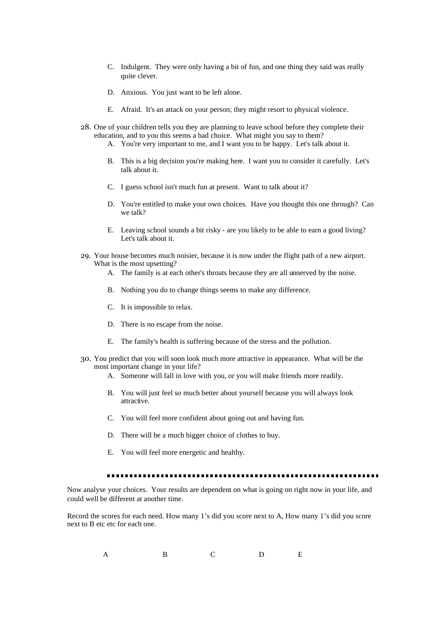- C. Indulgent. They were only having a bit of fun, and one thing they said was really quite clever.
- D. Anxious. You just want to be left alone.
- E. Afraid. It's an attack on your person; they might resort to physical violence.
- 28. One of your children tells you they are planning to leave school before they complete their education, and to you this seems a bad choice. What might you say to them?
	- A. You're very important to me, and I want you to be happy. Let's talk about it.
	- B. This is a big decision you're making here. I want you to consider it carefully. Let's talk about it.
	- C. I guess school isn't much fun at present. Want to talk about it?
	- D. You're entitled to make your own choices. Have you thought this one through? Can we talk?
	- E. Leaving school sounds a bit risky are you likely to be able to earn a good living? Let's talk about it.
- 29. Your house becomes much noisier, because it is now under the flight path of a new airport. What is the most upsetting?
	- A. The family is at each other's throats because they are all unnerved by the noise.
	- B. Nothing you do to change things seems to make any difference.
	- C. It is impossible to relax.
	- D. There is no escape from the noise.
	- E. The family's health is suffering because of the stress and the pollution.
- 30. You predict that you will soon look much more attractive in appearance. What will be the most important change in your life?
	- A. Someone will fall in love with you, or you will make friends more readily.
	- B. You will just feel so much better about yourself because you will always look attractive.
	- C. You will feel more confident about going out and having fun.
	- D. There will be a much bigger choice of clothes to buy.
	- E. You will feel more energetic and healthy.

Now analyse your choices. Your results are dependent on what is going on right now in your life, and could well be different at another time.

Record the scores for each need. How many 1's did you score next to A, How many 1's did you score next to B etc etc for each one.

A B C D E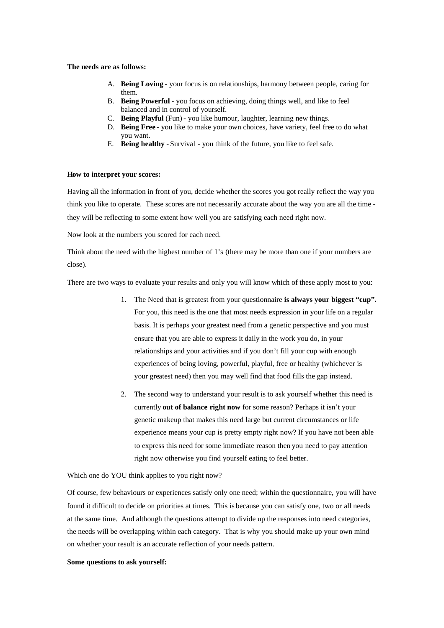## **The needs are as follows:**

- A. **Being Loving** your focus is on relationships, harmony between people, caring for them.
- B. **Being Powerful** you focus on achieving, doing things well, and like to feel balanced and in control of yourself.
- C. **Being Playful** (Fun) you like humour, laughter, learning new things.
- D. **Being Free** you like to make your own choices, have variety, feel free to do what you want.
- E. **Being healthy** Survival you think of the future, you like to feel safe.

### **How to interpret your scores:**

Having all the information in front of you, decide whether the scores you got really reflect the way you think you like to operate. These scores are not necessarily accurate about the way you are all the time they will be reflecting to some extent how well you are satisfying each need right now.

Now look at the numbers you scored for each need.

Think about the need with the highest number of 1's (there may be more than one if your numbers are close).

There are two ways to evaluate your results and only you will know which of these apply most to you:

- 1. The Need that is greatest from your questionnaire **is always your biggest "cup".** For you, this need is the one that most needs expression in your life on a regular basis. It is perhaps your greatest need from a genetic perspective and you must ensure that you are able to express it daily in the work you do, in your relationships and your activities and if you don't fill your cup with enough experiences of being loving, powerful, playful, free or healthy (whichever is your greatest need) then you may well find that food fills the gap instead.
- 2. The second way to understand your result is to ask yourself whether this need is currently **out of balance right now** for some reason? Perhaps it isn't your genetic makeup that makes this need large but current circumstances or life experience means your cup is pretty empty right now? If you have not been able to express this need for some immediate reason then you need to pay attention right now otherwise you find yourself eating to feel better.

Which one do YOU think applies to you right now?

Of course, few behaviours or experiences satisfy only one need; within the questionnaire, you will have found it difficult to decide on priorities at times. This is because you can satisfy one, two or all needs at the same time. And although the questions attempt to divide up the responses into need categories, the needs will be overlapping within each category. That is why you should make up your own mind on whether your result is an accurate reflection of your needs pattern.

### **Some questions to ask yourself:**